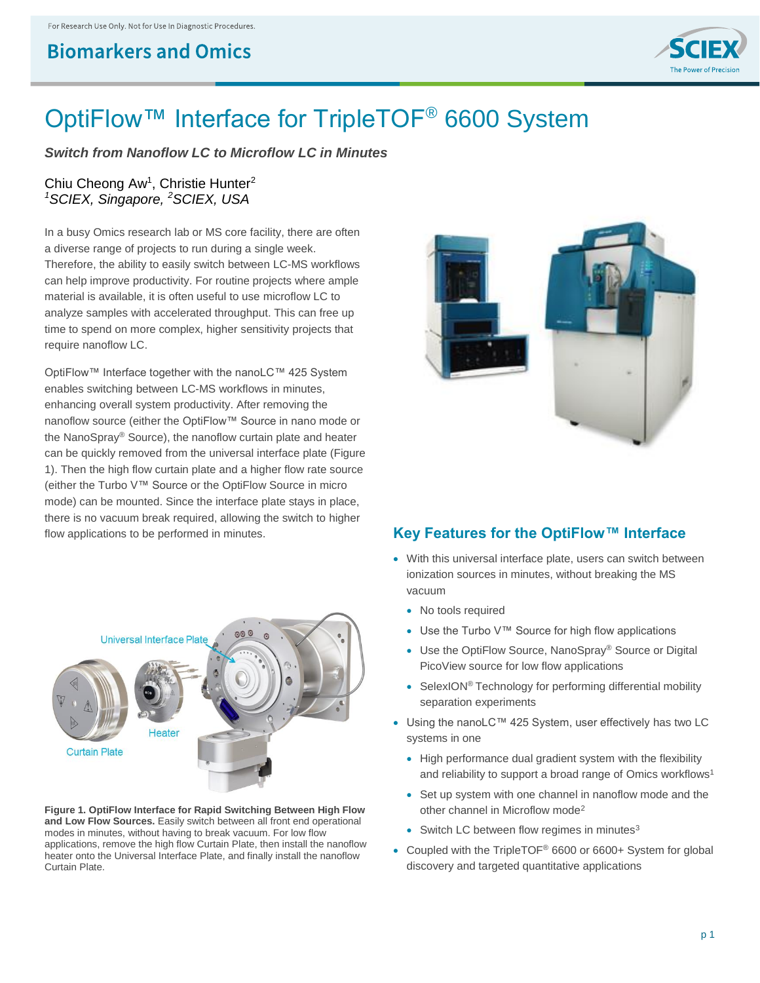## **Biomarkers and Omics**



# OptiFlow™ Interface for TripleTOF<sup>®</sup> 6600 System

*Switch from Nanoflow LC to Microflow LC in Minutes*

### Chiu Cheong Aw<sup>1</sup>, Christie Hunter<sup>2</sup> *<sup>1</sup>SCIEX, Singapore, <sup>2</sup>SCIEX, USA*

In a busy Omics research lab or MS core facility, there are often a diverse range of projects to run during a single week. Therefore, the ability to easily switch between LC-MS workflows can help improve productivity. For routine projects where ample material is available, it is often useful to use microflow LC to analyze samples with accelerated throughput. This can free up time to spend on more complex, higher sensitivity projects that require nanoflow LC.

OptiFlow™ Interface together with the nanoLC™ 425 System enables switching between LC-MS workflows in minutes, enhancing overall system productivity. After removing the nanoflow source (either the OptiFlow™ Source in nano mode or the NanoSpray® Source), the nanoflow curtain plate and heater can be quickly removed from the universal interface plate (Figure 1). Then the high flow curtain plate and a higher flow rate source (either the Turbo V™ Source or the OptiFlow Source in micro mode) can be mounted. Since the interface plate stays in place, there is no vacuum break required, allowing the switch to higher flow applications to be performed in minutes. **Key Features for the OptiFlow™ Interface**



**Figure 1. OptiFlow Interface for Rapid Switching Between High Flow and Low Flow Sources.** Easily switch between all front end operational modes in minutes, without having to break vacuum. For low flow applications, remove the high flow Curtain Plate, then install the nanoflow heater onto the Universal Interface Plate, and finally install the nanoflow Curtain Plate.



- With this universal interface plate, users can switch between ionization sources in minutes, without breaking the MS vacuum
	- No tools required
	- Use the Turbo V™ Source for high flow applications
	- Use the OptiFlow Source, NanoSpray® Source or Digital PicoView source for low flow applications
	- SelexION<sup>®</sup> Technology for performing differential mobility separation experiments
- Using the nanoLC™ 425 System, user effectively has two LC systems in one
	- High performance dual gradient system with the flexibility and reliability to support a broad range of Omics workflows<sup>1</sup>
	- Set up system with one channel in nanoflow mode and the other channel in Microflow mode<sup>2</sup>
	- Switch LC between flow regimes in minutes $3$
- Coupled with the TripleTOF® 6600 or 6600+ System for global discovery and targeted quantitative applications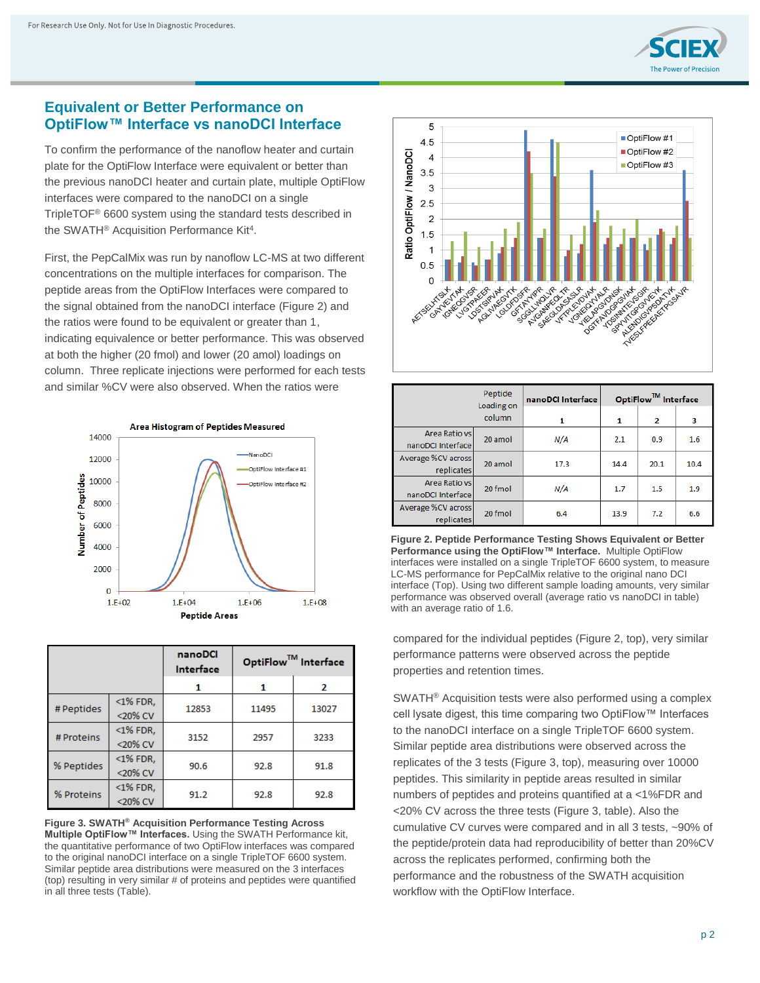

### **Equivalent or Better Performance on OptiFlow™ Interface vs nanoDCI Interface**

To confirm the performance of the nanoflow heater and curtain plate for the OptiFlow Interface were equivalent or better than the previous nanoDCI heater and curtain plate, multiple OptiFlow interfaces were compared to the nanoDCI on a single TripleTOF® 6600 system using the standard tests described in the SWATH<sup>®</sup> Acquisition Performance Kit<sup>4</sup>.

First, the PepCalMix was run by nanoflow LC-MS at two different concentrations on the multiple interfaces for comparison. The peptide areas from the OptiFlow Interfaces were compared to the signal obtained from the nanoDCI interface (Figure 2) and the ratios were found to be equivalent or greater than 1, indicating equivalence or better performance. This was observed at both the higher (20 fmol) and lower (20 amol) loadings on column. Three replicate injections were performed for each tests and similar %CV were also observed. When the ratios were



|            |             | nanoDCI<br>Interface | OptiFlow™ Interface |       |  |
|------------|-------------|----------------------|---------------------|-------|--|
|            |             |                      | 1                   | 2     |  |
| # Peptides | $<$ 1% FDR, | 12853                | 11495               | 13027 |  |
|            | <20% CV     |                      |                     |       |  |
| # Proteins | $<$ 1% FDR, | 3152                 | 2957                | 3233  |  |
|            | <20% CV     |                      |                     |       |  |
| % Peptides | $<$ 1% FDR, | 90.6                 | 92.8                | 91.8  |  |
|            | <20% CV     |                      |                     |       |  |
| % Proteins | $<$ 1% FDR, | 91.2                 | 92.8                | 92.8  |  |
|            | <20% CV     |                      |                     |       |  |

**Figure 3. SWATH® Acquisition Performance Testing Across Multiple OptiFlow™ Interfaces.** Using the SWATH Performance kit, the quantitative performance of two OptiFlow interfaces was compared to the original nanoDCI interface on a single TripleTOF 6600 system. Similar peptide area distributions were measured on the 3 interfaces (top) resulting in very similar # of proteins and peptides were quantified in all three tests (Table).



|                                     | Peptide<br>Loading on | nanoDCI Interface | OptiFlow <sup>™</sup> Interface |                |      |
|-------------------------------------|-----------------------|-------------------|---------------------------------|----------------|------|
|                                     | column                | 1                 | 1                               | $\overline{2}$ | 3    |
| Area Ratio vsl<br>nanoDCI Interface | 20 amol               | N/A               | 2.1                             | 0.9            | 1.6  |
| Average %CV across<br>replicates    | 20 amol               | 17.3              | 14.4                            | 20.1           | 10.4 |
| Area Ratio vs<br>nanoDCI Interface  | 20 fmol               | N/A               | 1.7                             | 1.5            | 1.9  |
| Average %CV across<br>replicates    | 20 fmol               | 6.4               | 13.9                            | 7.2            | 6.6  |

**Figure 2. Peptide Performance Testing Shows Equivalent or Better Performance using the OptiFlow™ Interface.** Multiple OptiFlow interfaces were installed on a single TripleTOF 6600 system, to measure LC-MS performance for PepCalMix relative to the original nano DCI interface (Top). Using two different sample loading amounts, very similar performance was observed overall (average ratio vs nanoDCI in table) with an average ratio of 1.6.

compared for the individual peptides (Figure 2, top), very similar performance patterns were observed across the peptide properties and retention times.

SWATH® Acquisition tests were also performed using a complex cell lysate digest, this time comparing two OptiFlow™ Interfaces to the nanoDCI interface on a single TripleTOF 6600 system. Similar peptide area distributions were observed across the replicates of the 3 tests (Figure 3, top), measuring over 10000 peptides. This similarity in peptide areas resulted in similar numbers of peptides and proteins quantified at a <1%FDR and <20% CV across the three tests (Figure 3, table). Also the cumulative CV curves were compared and in all 3 tests, ~90% of the peptide/protein data had reproducibility of better than 20%CV across the replicates performed, confirming both the performance and the robustness of the SWATH acquisition workflow with the OptiFlow Interface.